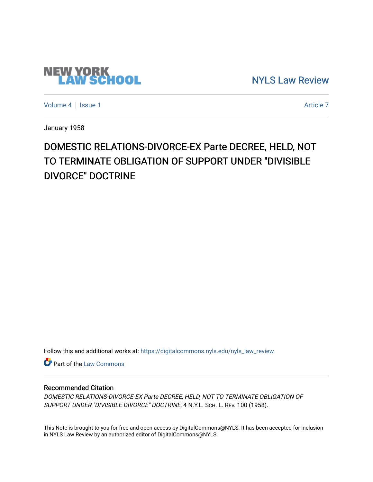# **NEW YORK<br>LAW SCHOOL**

[NYLS Law Review](https://digitalcommons.nyls.edu/nyls_law_review) 

[Volume 4](https://digitalcommons.nyls.edu/nyls_law_review/vol4) | [Issue 1](https://digitalcommons.nyls.edu/nyls_law_review/vol4/iss1) Article 7

January 1958

## DOMESTIC RELATIONS-DIVORCE-EX Parte DECREE, HELD, NOT TO TERMINATE OBLIGATION OF SUPPORT UNDER "DIVISIBLE DIVORCE" DOCTRINE

Follow this and additional works at: [https://digitalcommons.nyls.edu/nyls\\_law\\_review](https://digitalcommons.nyls.edu/nyls_law_review?utm_source=digitalcommons.nyls.edu%2Fnyls_law_review%2Fvol4%2Fiss1%2F7&utm_medium=PDF&utm_campaign=PDFCoverPages) 

**Part of the [Law Commons](https://network.bepress.com/hgg/discipline/578?utm_source=digitalcommons.nyls.edu%2Fnyls_law_review%2Fvol4%2Fiss1%2F7&utm_medium=PDF&utm_campaign=PDFCoverPages)** 

#### Recommended Citation

DOMESTIC RELATIONS-DIVORCE-EX Parte DECREE, HELD, NOT TO TERMINATE OBLIGATION OF SUPPORT UNDER "DIVISIBLE DIVORCE" DOCTRINE, 4 N.Y.L. SCH. L. REV. 100 (1958).

This Note is brought to you for free and open access by DigitalCommons@NYLS. It has been accepted for inclusion in NYLS Law Review by an authorized editor of DigitalCommons@NYLS.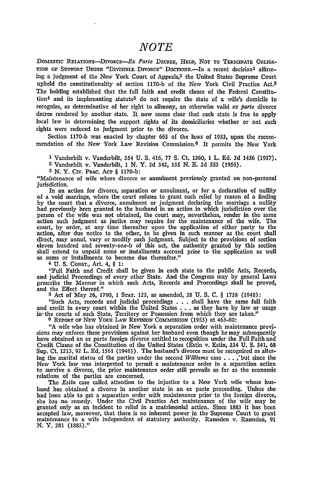### *NOTE*

DomEsTIc RELATIONS-DIVORCE-EX *Parte* DECREE, HELD, **NOT** TO TERMINATE **OBLIGA-TION OF SUPPORT UNDER "DIVISIBLE DIVORCE" DOCTRINE.—In a recent decision<sup>1</sup> affirm**ing a judgment of the New York Court of Appeals,2 the United States Supreme Court upheld the constitutionality of section **1170-b** of the New York Civil Practice Act.3 The holding established that the full faith and credit clause of the Federal Constitution<sup>4</sup> and its implementing statute<sup>5</sup> do not require the state of a wife's domicile to recognize, as determinative of her right to alimony, an otherwise valid *ex parte* divorce decree rendered by another state. It now seems clear that each state is free to apply local law in determining the support rights of its domiciliaries whether or not such rights were reduced to judgment prior to the divorce.

Section **1170-b** was enacted **by** chapter 663 of the laws of 1953, upon the recommendation of the New York Law Revision Commission.<sup>6</sup> It permits the New York

**<sup>1</sup>**Vanderbilt v. Vanderbilt, 354 **U. S.** 416, 77 **S.** Ct. 1360, 1 L. Ed. **2d** 1456 (1957).

**2** Vanderbilt v. Vanderbilt, 1 **N.** Y. 2d 342, 135 N. E. 2d 553 (1956).

**3 N.** Y. **CIv.** PRAC. **ACT** § **1170-b:**

"Maintenance of wife where divorce or annulment previously granted on non-personal jurisdiction.

In an action for divorce, separation or annulment, or for a declaration of nullity of a void marriage, where the court refuses to grant such relief by reason of a finding by the court that a divorce, annulment or judgment declaring the marriage a nullity had previously been granted to the husband in an action in which jurisdiction over the person of the wife was not obtained, the court may, nevertheless, render in the same action such judgment as justice may require for the maintenance of the wife. The court, by order, at any time thereafter upon the application of either party to the action, after due notice to the other, to be given in such manner as the court shall direct, may annul, vary or modify such judgment. Subject to the provisions of section eleven hundred and seventy-one-b of this act, the authority granted by this section shall extend to unpaid sums or installments accrued prior to the application as well as sums or installments to become due thereafter."

**4 U.** S. CoNsT., Art. 4, § 1:

"Full Faith and Credit shall be given in each state to the public Acts, Records, and judicial Proceedings of every other State. And the Congress may by general Laws prescribe the Manner in which such Acts, Records and Proceedings shall be proved, and the Effect thereof."

**5** Act of May 26, 1790, 1 **STAT.** 122, as amended, **28** U. S. **C.** § 1738 (1948):

"Such Acts, records and judicial proceedings . . . shall have the same full faith and credit in every court within the United States . . . as they have by law or usage in- the courts of such State, Territory or Possession from which they are taken."

<sup>6</sup> REPORT OF NEW YORK LAW REVISION COMMISSION (1953) at 463-80:

"A wife who has obtained in New York a separation order with maintenance provisions may enforce these provisions against her husband even though he may subsequently have obtained an ex parte foreign divorce entitled to recognition under the Full Faith and Credit Clause of the Constitution of the United States (Estin v. Estin, 334 U. **S.** 541, 68 Sup. Ct. 1213, 92 L. Ed. 1561 (1948)). The husband's divorce must be recognized as altering the marital status of the parties under the second *Williams* case . **.** . ,'but since the New York law was interpreted to permit a maintenance order in a separation action to survive a divorce, the prior maintenance order still prevails as far as the economic relations of the parties are concerned.

The *Estin* case called attention to the injustice to a New York wife whose husband has obtained a divorce in another state in an **ex** parte proceeding. Unless she had been able to get a separation order with maintenance prior to the foreign divorce, she has no remedy. Under the Civil Practice Act maintenance of the wife may **be** granted only as an incident to relief in a matrimonial action. Since **1883** it has been accepted law, moreover, that there is no inherent power in the Supreme Court to grant maintenance to a wife independent of statutory authority. Ramsden v. Ramsden, 91 **N.** Y. **281 (1883)."**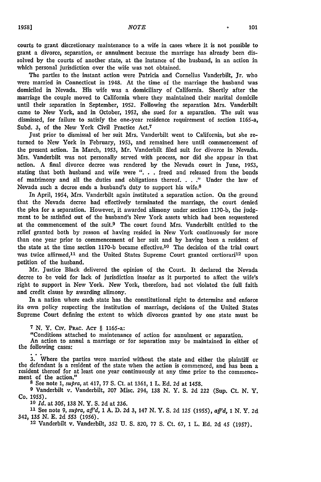courts to grant discretionary maintenance to a wife in cases where it is not possible to grant a divorce, separation, or annulment because the marriage has already been dissolved **by** the courts of another state, at the instance of the husband, in an action in which personal jurisdiction over the wife was not obtained.

The parties to the instant action were Patricia and Cornelius Vanderbilt, Jr. who were married in Connecticut in 1948. At the time of the marriage the husband was domiciled in Nevada. His wife was a domiciliary of California. Shortly after the marriage the couple moved to California where they maintained their marital domicile until their separation in September, **1952.** Following the separation Mrs. Vanderbilt came to New York, and in October, **1952,** she sued for a separation. The suit was dismissed, for failure to satisfy the one-year residence requirement of section 1165-a, Subd. **3,** of the New York Civil Practice Act.<sup>7</sup>

Just prior to dismissal of her suit Mrs. Vanderbilt went to California, but she returned to **New** York in February, **1953,** and remained here until commencement of the present action. In March, **1953,** Mr. Vanderbilt filed suit for divorce in Nevada. Mrs. Vanderbilt was not personally served with process, nor did she appear in that action. A final divorce decree was rendered **by** the Nevada court in June, 1953, stating that both husband and wife were ". **.** . freed and released from the bonds of matrimony and all the duties and obligations thereof. . . **."** Under the law of Nevada such a decree ends a husband's duty to support his wife.<sup>8</sup>

In April, 1954, Mrs. Vanderbilt again instituted a separation action. On the ground that the Nevada decree had effectively terminated the marriage, the court denied the plea for a separation. However, it awarded alimony under section 1170-b, the **judg**ment to be satisfied out of the husband's New York assets which had been sequestered at the commencement of the suit.9 The court found Mrs. Vanderbilt entitled to the relief granted both by reason of having resided in New York continuously for more than one year prior to commencement of her suit and by having been a resident of the state at the time section 1170-b became effective.<sup>10</sup> The decision of the trial court was twice affirmed,<sup>11</sup> and the United States Supreme Court granted certiorari<sup>12</sup> upon petition of the husband.

Mr. Justice Black delivered the opinion of the Court. It declared the Nevada decree to be void for lack of jurisdiction insofar as it purported to affect the wife's right to support in New York. New York, therefore, had not violated the full faith and credit clause **by** awarding alimony.

In a nation where each state has the constitutional right to determine and enforce its own policy respecting the institution of marriage, decisions of the United States Supreme Court defining the extent to which divorces granted by one state must be

**<sup>7</sup>**N. Y. Civ. PRAc. **AcT** § 1165-a:

"Conditions attached to maintenance of action for annulment or separation.

An action to annul a marriage or for separation may be maintained in either of the following cases:

3. Where the parties were married without the state and either the plaintiff or the defendant is a resident of the state when the action is commenced, and has been a resident thereof for at least one year continuously at a

**8** See note 1, *supra,* at 417, 77 **S.** Ct. at 1361, 1 L. Ed. **2d** at 1458.

**<sup>9</sup>**Vanderbilt v. Vanderbilt, 207 Misc. 294, 138 N. Y. S. 2d 222 (Sup. Ct. N. Y. Co. 1955).

*10 Id.* at 305, **138** N. Y. S. 2d at 236.

**11** See note 9, *supra, aff'd,* 1 A. D. 2d 3, 147 N. Y. S. 2d 125 (1955), *aff'd,* 1 N. Y. 2d 342, 135 N. **E.** 2d 553 (1956).

**12** Vanderbilt v. Vanderbilt, 352 U. **S.** 820, 77 **S.** Ct. 67, 1 L. **Ed.** 2d 45 (1957).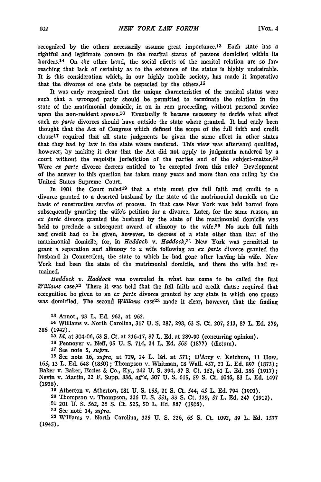recognized by the others necessarily assume great importance.<sup>13</sup> Each state has a rightful and legitimate concern in the marital status of persons domiciled within its borders.<sup>14</sup> On the other hand, the social effects of the marital relation are so farreaching that lack of certainty as to the existence of the status is **highly** undesirable, It is this consideration which, in our **highly** mobile society, has made it imperative that the divorces of one state be respected **by** the others.<sup>15</sup>

It was early recognized that the unique characteristics of the marital status were such that a wronged party should be permitted to terminate the relation in the state of the matrimonial domicile, in an in rem proceeding, without personal service upon the non-resident spouse.<sup>16</sup> Eventually it became necessary to decide what effect such *ex parte* divorces should have outside the state where granted. It had early been thought that the Act of Congress which defined the scope of the full faith and credit  $clause<sup>17</sup> required that all state judgments be given the same effect in other states$ that they had **by** law in the state where rendered. This view was afterward qualified, however, **by** making it clear that the Act did not apply to judgments rendered **by** a court without the requisite jurisdiction of the parties and of the subject-matter.<sup>18</sup> Were *ex parte* divorce decrees entitled to be excepted from this rule? Development of the answer to this question has taken many years and more than one ruling **by** the United States Supreme Court.

In 1901 the Court ruled<sup>19</sup> that a state must give full faith and credit to a divorce granted to a deserted husband **by** the state of the matrimonial domicile on the basis of constructive service of process. In that case New York was held barred from subsequently granting the wife's petition for a divorce. Later, for the same reason, an *ex parte* divorce granted the husband **by** the state of the matrimonial domicile was held to preclude a subsequent award of alimony to the wife.<sup>20</sup> No such full faith and credit had to be given, however, to decrees of a state other than that of the matrimonial domicile, for, in *Haddock v. Haddock*,<sup>21</sup> New York was permitted to grant a separation and alimony to a wife following an *ex parle* divorce granted the husband in Connecticut, the state to which he had gone after leaving his wife. New York had been the state of the matrimonial domicile, and there the wife had remained.

*Haddock v. Haddock* was overruled in what has come to be called the first *Williams* case.<sup>22</sup> There it was held that the full faith and credit clause required that recognition **be** given to an *ex Parte* divorce granted **by** any state in which one spouse was domiciled. The second *Williams* case<sup>23</sup> made it clear, however, that the finding

**13** Annot., 93 L. **Ed. 962,** at **962.**

14 Williams v. North Carolina, 317 **U. S. 287, 298, 63 S.** Ct. **207, 213, 87** L. **Ed. 279,** 286 (1942).

*15 Id.* at 304-06, 63 **S.** Ct. at **216-17,** 87 L. **Ed.** at 289-90 (concurring opinion).

**16** Pennoyer v. Neff, **95 U. S.** 714, 24 L. **Ed. 565 (1877)** (dictum).

**17** See note **5,** *supra.*

**<sup>18</sup>**See note **16,** *supra,* at **729,** 24 L. **Ed.** at **571;** D'Arcy v. Ketchum, **11** How. **165, 13** L. **Ed.** 648 **(1850);** Thompson **v.** Whitman, **18** Wall. 457, 21 L. **Ed.** 897 **(1873);** Baker v. Baker, Eccles & Co., **Ky.,** 242 **U. S.** 394, **37 S.** Ct. 152, 61 L. **Ed. 386 (1917);** Nevin v. Martin, 22 F. Supp. **836,** *aff'd,* **307 U. S. 615, 59 S.** Ct. 1046, **83** L. **Ed.** 1497 **(1938).**

**'9** Atherton v. Atherton, **181 U. S. 155,** 21 **S.** Ct. 544, 45 L. **Ed.** 794 **(1901). <sup>20</sup>**Thompson v. Thompson, **226 U. S. 551,** 33 **S.** Ct. **129,** 57 L. Ed. 347 **(1912).**

**21** 201 **U. S. 562, 26 S.** Ct. **525, 50** L. **Ed. 867 (1906).**

**22** See not6 14, *supra.*

**23** Williams v. North Carolina, **325** U. **S. 226, 65 S.** Ct. **1092,** 89 L. **Ed. 1577** (1945)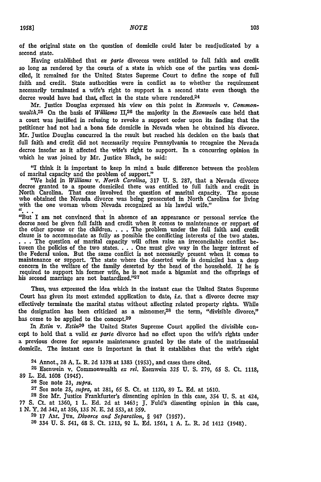of the original state on the question of domicile could later be readjudicated **by** a second state.

Having established that *ex parte* divorces were entitled to full faith and credit so long as rendered by the courts of a state in which one of the parties was domiciled, it remained for the United States Supreme Court to define the scope of full faith and credit. State authorities were in conflict as to whether the requirement necessarily terminated a wife's right to support in a second state even though the decree would have had that, effect in the state where rendered.<sup>24</sup>

Mr. Justice Douglas expressed his view on this point in *Esenwein v. Commonwealth.2 <sup>5</sup>*On the basis of *Williams* 11,26 the majority in the *Esenwein* case held that a court was justified in refusing to revoke a support order upon its finding that the petitioner had not had a bona fide domicile in Nevada when he obtained his divorce. Mr. Justice Douglas concurred in the result **but** reached his decision on the basis that full faith and credit did not necessarily require Pennsylvania to recognize the Nevada decree insofar as it affected the wife's right to support. In a concurring opinion in which he was joined **by** Mr. Justice Black, he said:

"I think it is important to keep in mind a basic difference between the problem of marital capacity and the problem of support."

"We held in *Williams v. North Carolina,* **317 U. S.** 287, that a Nevada divorce decree granted to a spouse domiciled there was entitled to full faith and credit in North Carolina. That case involved the question of marital capacity. The spouse who obtained the Nevada divorce was being prosecuted in North Carolina for living with the one woman whom Nevada recognized as his lawful wife."

"...<br>"But I am not convinced that in absence of an appearance or personal service the decree need **be** given full faith and credit when it comes to maintenance or support of the other spouse or the children. . **.** .The problem under the full faith and credit clause is to accommodate as fully as possible the conflicting interests of the two states. **. . .**The question of marital capacity will often raise an irreconcilable conflict between the policies of the two states. . . . One must give way in the larger interest of the Federal union. But the same conflict is not necessarily present when it comes to maintenance or support. The state where the deserted wife is domiciled has a deep concern in the welfare of the family deserted **by** the head of the household. If he is required to support his former wife, he is not made a bigamist and the offsprings of his second marriage are not bastardized."27

Thus, was expressed the idea which in the instant case the United States Supreme Court has given its most extended application to date, *i.e.* that a divorce decree may effectively terminate the marital status without affecting related property rights. While the designation has been criticized as a misnomer,28 the term, "divisible divorce," has come to be applied to the concept.<sup>29</sup>

In Estin v. Estin<sup>30</sup> the United States Supreme Court applied the divisible concept to hold that a valid *ex parte* divorce had no effect upon the wife's rights under a previous decree for separate maintenance granted **by** the state of the matrimonial domicile. The instant case is important in that it establishes that the wife's right

24 Annot., 28 A. L. R. **2d 1378** at **1383** (1953), and cases there cited.

**25** Esenwein v. Commonwealth *ex rel.* Esenwein **325** U. **S. 279, 65 S.** Ct. 1118, 89 L. **Ed.** 1608 (1945).

**20** See note **23,** *supra.*

**27** See note **25,** *supra,* at **281,** 65 **S.** Ct. at 1120, 89 L. **Ed.** at 1610.

**28** See Mr. Justice Frankfurter's dissenting opinion in this case, 354 **U.** S. at 424, **77 S.** Ct. at 1360, 1 L. Ed. 2d at 1463; **J.** Fuld's dissenting opinion in this case,

1 N. Y. **2d** 342, at **356,** 135 N. E. 2d 553, at 559. **20 17 Am,.** JuR. *Divorce and Separation, §* 947 **(1957).**

**30** 334 **U. S.** 541, **68 S.** Ct. **1213, 92** L. **Ed. 1561, 1 A.** L. R. **2d** 1412 (1948).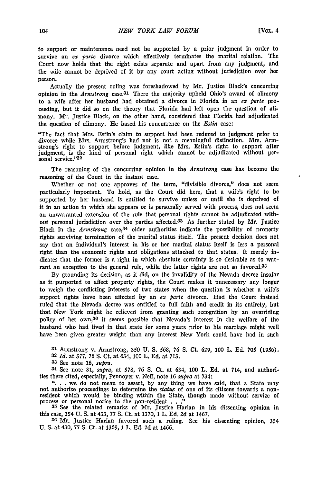to support or maintenance need not be supported **by** a prior judgment in order to survive an *ex parte* divorce which effectively terminates the marital relation. The Court now holds that the right exists separate and apart from any judgment, and the wife cannot be deprived of it **by** any court acting without jurisdiction over her person.

Actually the present ruling was foreshadowed **by** Mr. Justice Black's concurring opinion in the *Armstrong* case. 31 There the majority upheld Ohio's award of alimony to a wife after her husband had obtained a divorce in Florida in an *ex Parte* proceeding, but it did so on the theory that Florida had left open the question of alimony. Mr. Justice Black, on the other hand, considered that Florida had adjudicated the question of alimony. He based his concurrence on the *Estin* case:

"The fact that Mrs. Estin's claim to support had been reduced to judgment prior to divorce while Mrs. Armstrong's had not is not a meaningful distinction. Mrs. Armstrong's right to support before judgment, like Mrs. Estin's right to support after judgment, is the kind of personal right which cannot be adjudicated without personal service."32

The reasoning of the concurring opinion in the *Armstrong* case has become the reasoning of the Court in the instant case.

Whether or not one approves of the term, "divisible divorce," does not seem particularly important. To hold, as the Court **did** here, that a wife's right to **be** supported **by** her husband is entitled to survive unless or until she is deprived of it in an action in which she appears or is personally served with process, does not seem an unwarranted extension of the rule that personal rights cannot be adjudicated without personal jurisdiction over the parties affected.33 As further stated **by** Mr. Justice Black in the *Armstrong* case,34 older authorities indicate the possibility of property rights surviving termination of the marital status itself. The present decision does not say that an individual's interest in his or her marital status itself is less a personal right than the economic rights and obligations attached to that status. It merely indicates that the former is a right in which absolute certainty is so desirable as to warrant an exception to the general rule, while the latter rights are not so favored.<sup>35</sup>

By grounding its decision, as it did, on the invalidity of the Nevada decree insofar as it purported to affect property rights, the Court makes it unnecessary any longer to weigh the conflicting interests of two states when the question is whether a wife's support rights have been affected **by** an ex *parte* divorce. Had the Court instead ruled that the Nevada decree was entitled to full faith and credit in its entirety, but that New York might be relieved from granting such recognition **by** an overriding policy of her own,36 it seems possible that Nevada's interest in the welfare of the husband who had lived in that state for some years prior to his marriage might well have been given greater weight than any interest New York could have had in such

**31** Armstrong v. Armstrong, **350** U. **S.** 568, **76** S. Ct. 629, 100 L. **Ed. 705** (1956).

**<sup>32</sup>***Id.* at **577, 76 S.** Ct. at 634, 100 L. **Ed.** at **713.**

**<sup>33</sup>**See note **16,** *supra.*

34 See note **31,** *supra,* at 578, **76 S.** Ct. at 634, 100 L. **Ed.** at 714, and authorities there cited, especially, Pennoyer v. Neff, note 16 *supra* at 734:

"... we do not mean to assert, by any thing we have said, that a State may not authorize proceedings to determine the *status* of one of its citizens towards a non-resident which would be binding within the State, though m process or personal notice to the non-resident . . ."<br>
<sup>35</sup>See the related remarks of Mr. Justice Harlan in his dissenting opinion in

this case, 354 U. S. at 433, 77 **S.** Ct. at 1370, 1 L. **Ed. 2d** at 1467.

**36** Mr. Justice Harlan favored such a ruling. See his dissenting opinion, 354 U. S. at 430, 77 **S.** Ct. at 1369, 1 L. **Ed. 2d** at 1466.